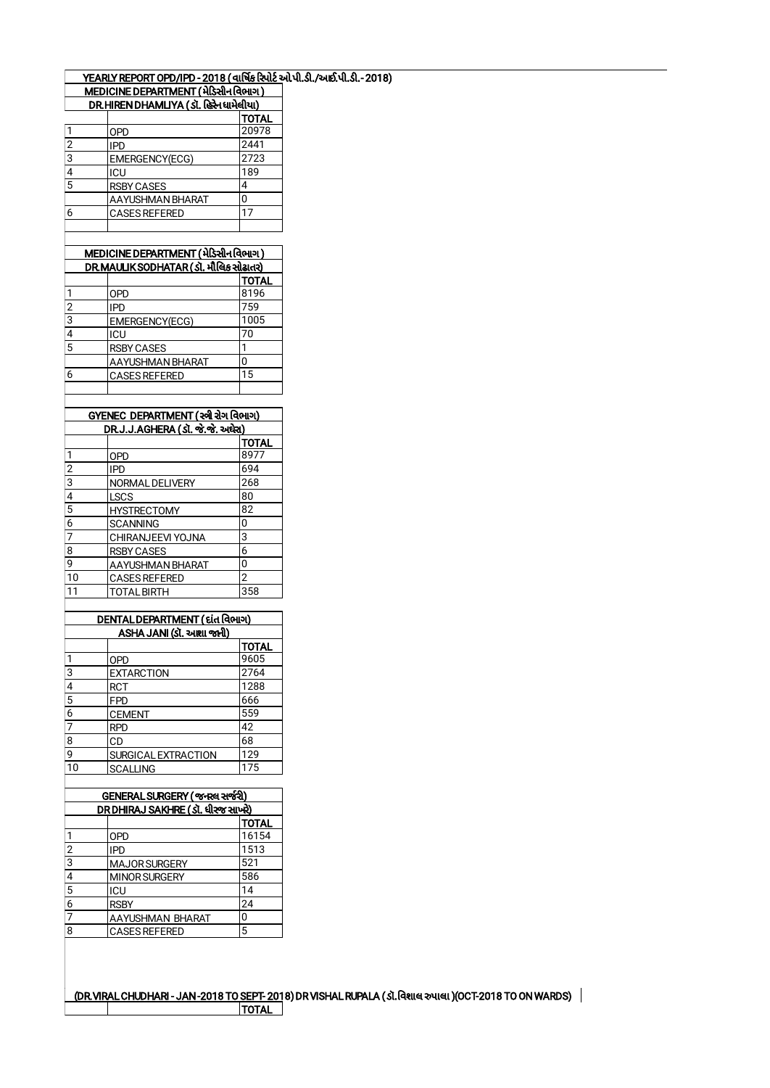|                                     | YEARLY REPORT OPD/IPD - 2018 ( વાર્ષિક રિપોર્ટ ઓપી.ડી./આઈ.પી.ડી.- 2018) |
|-------------------------------------|-------------------------------------------------------------------------|
| MEDICINE DEDAPTMENT (1) Pala Roual) |                                                                         |

|                         | MEDICINE DEPARTMENT (મેડિસીન વિભાગ)      |                |
|-------------------------|------------------------------------------|----------------|
|                         | DR.HIREN DHAMLIYA (ડૉ. હિરેન ધામેલીયા)   |                |
|                         |                                          | <b>TOTAL</b>   |
| 1                       | OPD                                      | 20978          |
| $\overline{c}$          | <b>IPD</b>                               | 2441           |
| $\overline{3}$          | EMERGENCY(ECG)                           | 2723           |
| 4                       | ICU                                      | 189            |
| $\overline{5}$          | <b>RSBY CASES</b>                        | 4              |
|                         | AAYUSHMAN BHARAT                         | 0              |
| $\overline{6}$          | <b>CASES REFERED</b>                     | 17             |
|                         |                                          |                |
|                         |                                          |                |
|                         | MEDICINE DEPARTMENT (મેડિસીન વિભાગ)      |                |
|                         | DR.MAULIK SODHATAR ( ડૉ. મૌલિક સોઢાતર)   |                |
|                         |                                          | <b>TOTAL</b>   |
| $\overline{\mathbf{1}}$ | <b>OPD</b>                               | 8196           |
| $\overline{c}$          | <b>IPD</b>                               | 759            |
| $\overline{3}$          | EMERGENCY(ECG)                           | 1005           |
| 4                       | ICU                                      | 70             |
| $\overline{5}$          | <b>RSBY CASES</b>                        | 1              |
|                         | AAYUSHMAN BHARAT                         | 0              |
| 6                       | <b>CASES REFERED</b>                     | 15             |
|                         |                                          |                |
|                         |                                          |                |
|                         | GYENEC DEPARTMENT (સ્ત્રી રોગ વિભાગ)     |                |
|                         | <u> DR.J.J.AGHERA (ડૉ. જે.જે. અઘેરા)</u> |                |
|                         |                                          | <b>TOTAL</b>   |
| $\overline{\mathbf{1}}$ | <b>OPD</b>                               | 8977           |
| $\overline{2}$          | <b>IPD</b>                               | 694            |
| $\overline{3}$          | NORMAL DELIVERY                          | 268            |
| $\overline{4}$          | <b>LSCS</b>                              | 80             |
| $\overline{5}$          | <b>HYSTRECTOMY</b>                       | 82             |
| $\overline{6}$          | <b>SCANNING</b>                          | 0              |
| 7                       | CHIRANJEEVI YOJNA                        | 3              |
| 8                       | <b>RSBY CASES</b>                        | 6              |
| 9                       | <b>AAYUSHMAN BHARAT</b>                  | 0              |
| 10                      | <b>CASES REFERED</b>                     | $\overline{2}$ |
| 11                      | <b>TOTAL BIRTH</b>                       | 358            |
|                         |                                          |                |
|                         | DENTAL DEPARTMENT ( દાંત વિભાગ)          |                |
|                         | ASHA JANI (ડૉ. અશા જાની)                 |                |
|                         |                                          | TOTAL          |
| $\mathbf{1}$            | <b>OPD</b>                               | 9605           |
| $\overline{3}$          | <b>EXTARCTION</b>                        | 2764           |
| 4                       | <b>RCT</b>                               | 1288           |
| $\overline{5}$          | <b>FPD</b>                               | 666            |
|                         |                                          |                |

| 6  | <b>CEMENT</b>               | 559 |
|----|-----------------------------|-----|
| 7  | RPD                         | 42  |
| 8  | CD                          | 68  |
| q  | <b>ISURGICAL EXTRACTION</b> | 129 |
| 10 | <b>SCALLING</b>             | 175 |
|    |                             |     |

| GENERAL SURGERY ( જનરલ સર્જરી)    |                      |       |  |  |
|-----------------------------------|----------------------|-------|--|--|
| DR DHIRAJ SAKHRE (ડૉ. ધીરજ સાખરે) |                      |       |  |  |
|                                   |                      | TOTAL |  |  |
| 1                                 | <b>OPD</b>           | 16154 |  |  |
| 2                                 | <b>IPD</b>           | 1513  |  |  |
| $\overline{3}$                    | <b>MAJOR SURGERY</b> | 521   |  |  |
| $\overline{4}$                    | <b>MINOR SURGERY</b> | 586   |  |  |
| $\overline{5}$                    | ICU                  | 14    |  |  |
| 6                                 | <b>RSBY</b>          | 24    |  |  |
| 7                                 | AAYUSHMAN BHARAT     | 0     |  |  |
| 8                                 | <b>CASES REFERED</b> | 5     |  |  |
|                                   |                      |       |  |  |

(DR.VIRAL CHUDHARI - JAN -2018 TO SEPT- 2018) DR VISHAL RUPALA (ડૉ.વિશાલ રુપાલા )(OCT-2018 TO ON WARDS) TOTAL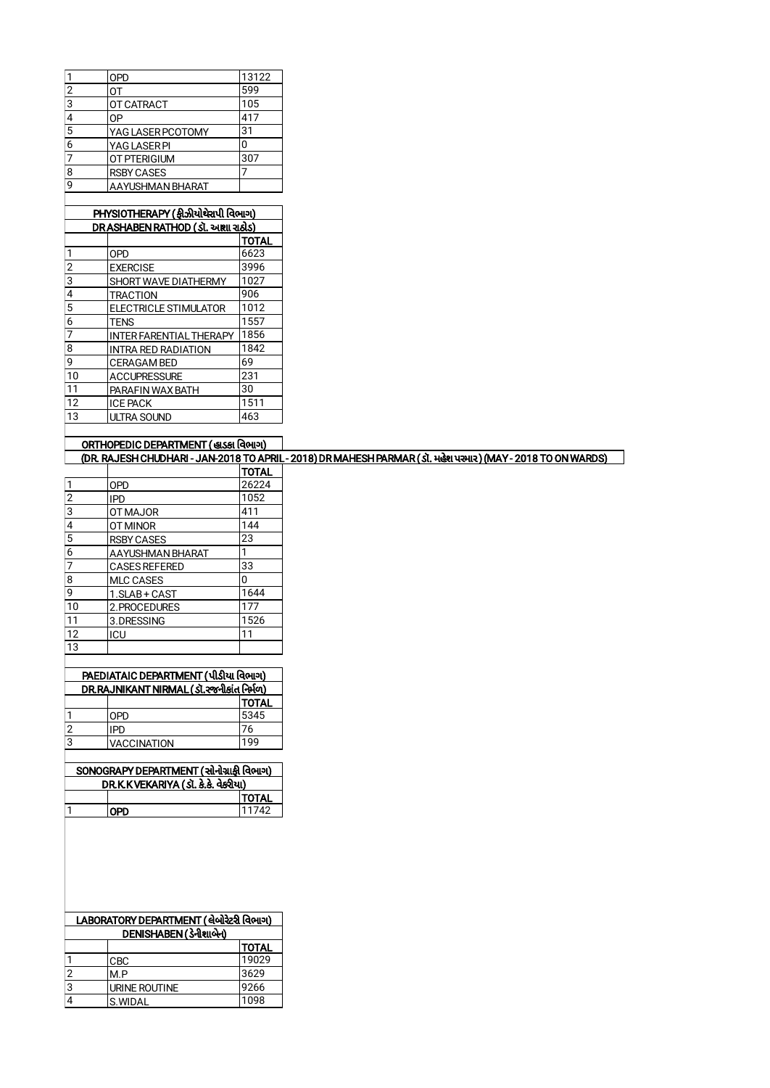|                | OPD                 | 13122 |
|----------------|---------------------|-------|
| $\overline{2}$ | ΩT                  | 599   |
| ı3             | OT CATRACT          | 105   |
| 4              | 0P                  | 417   |
| $\overline{5}$ | YAG LASER PCOTOMY   | 31    |
| 6              | YAG LASER PI        | 0     |
| $\overline{7}$ | <b>OT PTERIGIUM</b> | 307   |
| 8              | <b>RSBY CASES</b>   |       |
| q              | AAYUSHMAN BHARAT    |       |
|                |                     |       |

| PHYSIOTHERAPY (ફીઝીયોથેરાપી વિભાગ) |                                   |              |  |  |
|------------------------------------|-----------------------------------|--------------|--|--|
|                                    | DR ASHABEN RATHOD (ડૉ. આશા રાઠોડ) |              |  |  |
|                                    |                                   | <b>TOTAL</b> |  |  |
| 1                                  | <b>OPD</b>                        | 6623         |  |  |
| $\overline{2}$                     | <b>EXERCISE</b>                   | 3996         |  |  |
| 3                                  | SHORT WAVE DIATHERMY              | 1027         |  |  |
| 4                                  | <b>TRACTION</b>                   | 906          |  |  |
| 5                                  | <b>ELECTRICLE STIMULATOR</b>      | 1012         |  |  |
| 6                                  | <b>TENS</b>                       | 1557         |  |  |
| 7                                  | <b>INTER FARENTIAL THERAPY</b>    | 1856         |  |  |
| 8                                  | <b>INTRA RED RADIATION</b>        | 1842         |  |  |
| 9                                  | <b>CERAGAM BED</b>                | 69           |  |  |
| 10                                 | <b>ACCUPRESSURE</b>               | 231          |  |  |
| 11                                 | PARAFIN WAX BATH                  | 30           |  |  |
| 12                                 | <b>ICE PACK</b>                   | 1511         |  |  |
| 13                                 | <b>ULTRA SOUND</b>                | 463          |  |  |

| ORTHOPEDIC DEPARTMENT (હાડકા વિભાગ)                                                                   |        |  |  |  |
|-------------------------------------------------------------------------------------------------------|--------|--|--|--|
| (DR. RAJESH CHUDHARI-JAN-2018 TO APRIL-2018) DR MAHESH PARMAR (ડૉ. મહેશ પરમાર) (MAY-2018 TO ON WARDS) |        |  |  |  |
|                                                                                                       | 'TOTAL |  |  |  |

|                |                      | HUIAL |
|----------------|----------------------|-------|
| $\mathbf{1}$   | <b>OPD</b>           | 26224 |
| $\overline{2}$ | <b>IPD</b>           | 1052  |
| $\overline{3}$ | <b>OT MAJOR</b>      | 411   |
| $\overline{4}$ | OT MINOR             | 144   |
| $\overline{5}$ | <b>RSBY CASES</b>    | 23    |
| $\overline{6}$ | AAYUSHMAN BHARAT     |       |
| 7              | <b>CASES REFERED</b> | 33    |
| 8              | <b>MLC CASES</b>     | 0     |
| 9              | 1.SLAB + CAST        | 1644  |
| 10             | 2. PROCEDURES        | 177   |
| 11             | 3.DRESSING           | 1526  |
| 12             | ICU                  | 11    |
| 13             |                      |       |

| PAEDIATAIC DEPARTMENT (પીડીયા વિભાગ)      |  |             |              |  |  |
|-------------------------------------------|--|-------------|--------------|--|--|
| DR.RAJNIKANT NIRMAL (Sl. રજનીકાંત નિર્મળ) |  |             |              |  |  |
|                                           |  |             | <b>TOTAL</b> |  |  |
|                                           |  | <b>OPD</b>  | 5345         |  |  |
| 2                                         |  | <b>IPD</b>  | 76           |  |  |
| 3                                         |  | VACCINATION | 199          |  |  |
|                                           |  |             |              |  |  |

| SONOGRAPY DEPARTMENT (સોનોગ્રાકી વિભાગ) |            |               |  |
|-----------------------------------------|------------|---------------|--|
| DR.K.KVEKARIYA (ડૉ. કે.કે. વેકરીયા)     |            |               |  |
|                                         |            | <b> TOTAL</b> |  |
|                                         | <b>OPD</b> | 11742         |  |
|                                         |            |               |  |

| LABORATORY DEPARTMENT (લેબોરેટરી વિભાગ) |               |              |  |
|-----------------------------------------|---------------|--------------|--|
| DENISHABEN (ડેનીશાબેન)                  |               |              |  |
|                                         |               | <b>TOTAL</b> |  |
|                                         | <b>CBC</b>    | 19029        |  |
| 2                                       | M.P           | 3629         |  |
| 3                                       | URINE ROUTINE | 9266         |  |
|                                         | S.WIDAL       | 1098         |  |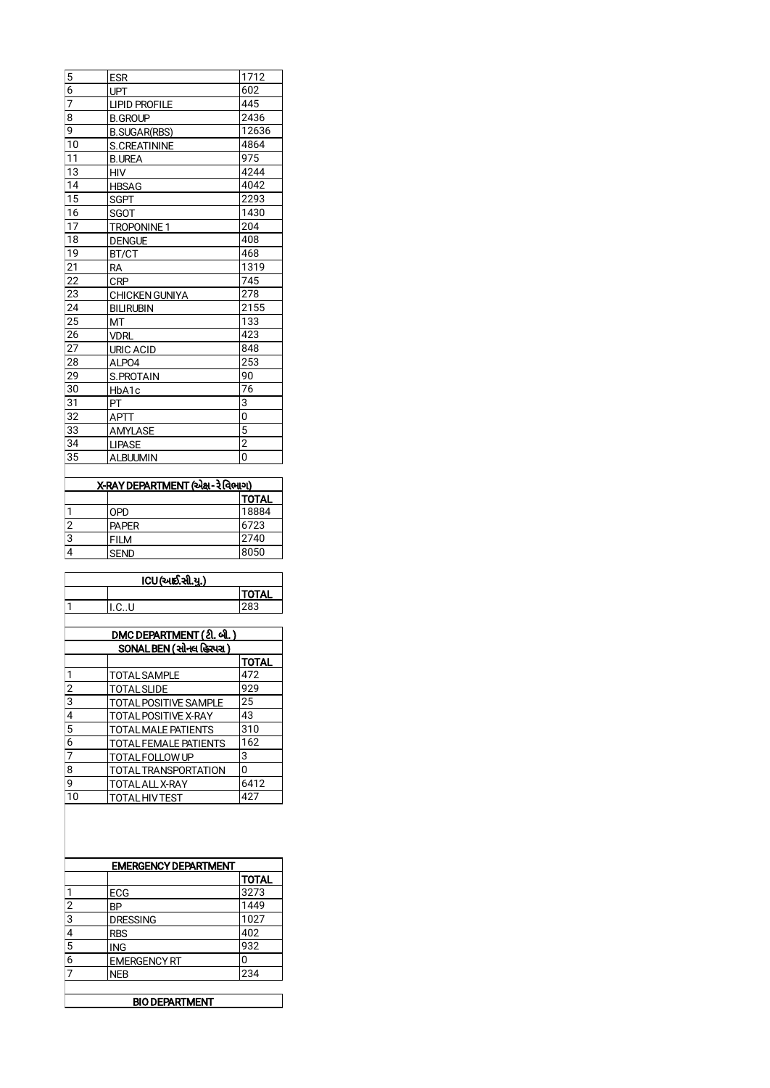| 5               | <b>ESR</b>            | 1712           |
|-----------------|-----------------------|----------------|
| 6               | <b>UPT</b>            | 602            |
| 7               | <b>LIPID PROFILE</b>  | 445            |
| 8               | <b>B.GROUP</b>        | 2436           |
| 9               | <b>B.</b> SUGAR(RBS)  | 12636          |
| $\overline{10}$ | <b>S.CREATININE</b>   | 4864           |
| 11              | <b>B.UREA</b>         | 975            |
| 13              | <b>HIV</b>            | 4244           |
| 14              | <b>HBSAG</b>          | 4042           |
| 15              | SGPT                  | 2293           |
| 16              | <b>SGOT</b>           | 1430           |
| 17              | <b>TROPONINE 1</b>    | 204            |
| 18              | <b>DENGUE</b>         | 408            |
| 19              | BT/CT                 | 468            |
| 21              | <b>RA</b>             | 1319           |
| 22              | <b>CRP</b>            | 745            |
| 23              | <b>CHICKEN GUNIYA</b> | 278            |
| 24              | <b>BILIRUBIN</b>      | 2155           |
| 25              | МT                    | 133            |
| 26              | <b>VDRL</b>           | 423            |
| 27              | <b>URIC ACID</b>      | 848            |
| 28              | ALPO4                 | 253            |
| 29              | S.PROTAIN             | 90             |
| 30              | HbA1c                 | 76             |
| 31              | PT                    | 3              |
| $\overline{32}$ | <b>APTT</b>           | 0              |
| 33              | AMYLASE               | 5              |
| 34              | <b>LIPASE</b>         | $\overline{2}$ |
| 35              | <b>ALBUUMIN</b>       | $\overline{0}$ |

| X-RAY DEPARTMENT (એક્ષ- રે વિભાગ) |              |              |  |  |  |
|-----------------------------------|--------------|--------------|--|--|--|
|                                   |              | <b>TOTAL</b> |  |  |  |
|                                   | <b>OPD</b>   | 18884        |  |  |  |
| 2                                 | <b>PAPER</b> | 6723         |  |  |  |
| 3                                 | <b>FILM</b>  | 2740         |  |  |  |
|                                   | <b>SEND</b>  | 8050         |  |  |  |

ľ

| ICU(અર્દા.સી.યુ.)           |                                  |              |  |  |
|-----------------------------|----------------------------------|--------------|--|--|
|                             |                                  | <b>TOTAL</b> |  |  |
| $\mathbf{1}$                | I.CU                             | 283          |  |  |
|                             |                                  |              |  |  |
|                             | <u>DMC DEPARTMENT (ટી. બી. )</u> |              |  |  |
|                             | SONAL BEN (સોનલ હિરપરા)          |              |  |  |
|                             |                                  | <b>TOTAL</b> |  |  |
| 1                           | <b>TOTAL SAMPLE</b>              | 472          |  |  |
| $\overline{c}$              | TOTAL SLIDE                      | 929          |  |  |
| $\overline{3}$              | <b>TOTAL POSITIVE SAMPLE</b>     | 25           |  |  |
| 4                           | TOTAL POSITIVE X-RAY             | 43           |  |  |
| 5                           | TOTAL MALE PATIENTS              | 310          |  |  |
| 6                           | TOTAL FEMALE PATIENTS            | 162          |  |  |
| 7                           | TOTAL FOLLOW UP                  | 3            |  |  |
| 8                           | TOTAL TRANSPORTATION             | $\Omega$     |  |  |
| 9                           | TOTAL ALL X-RAY                  | 6412         |  |  |
| 10                          | <b>TOTAL HIV TEST</b>            | 427          |  |  |
|                             |                                  |              |  |  |
| <b>EMERGENCY DEPARTMENT</b> |                                  |              |  |  |
|                             |                                  | TOTAL        |  |  |
| $\mathbf{1}$                | <b>ECG</b>                       | 3273         |  |  |
| $\overline{2}$              | <b>BP</b>                        | 1449         |  |  |
| 3                           | <b>DRESSING</b>                  | 1027         |  |  |

| 3 | <b>DRESSING</b>      | 1027 |
|---|----------------------|------|
| 4 | <b>RBS</b>           | 402  |
| 5 | <b>ING</b>           | 932  |
| 6 | <b>IEMERGENCY RT</b> | O    |
| 7 | NEB                  | 234  |
|   |                      |      |

BIO DEPARTMENT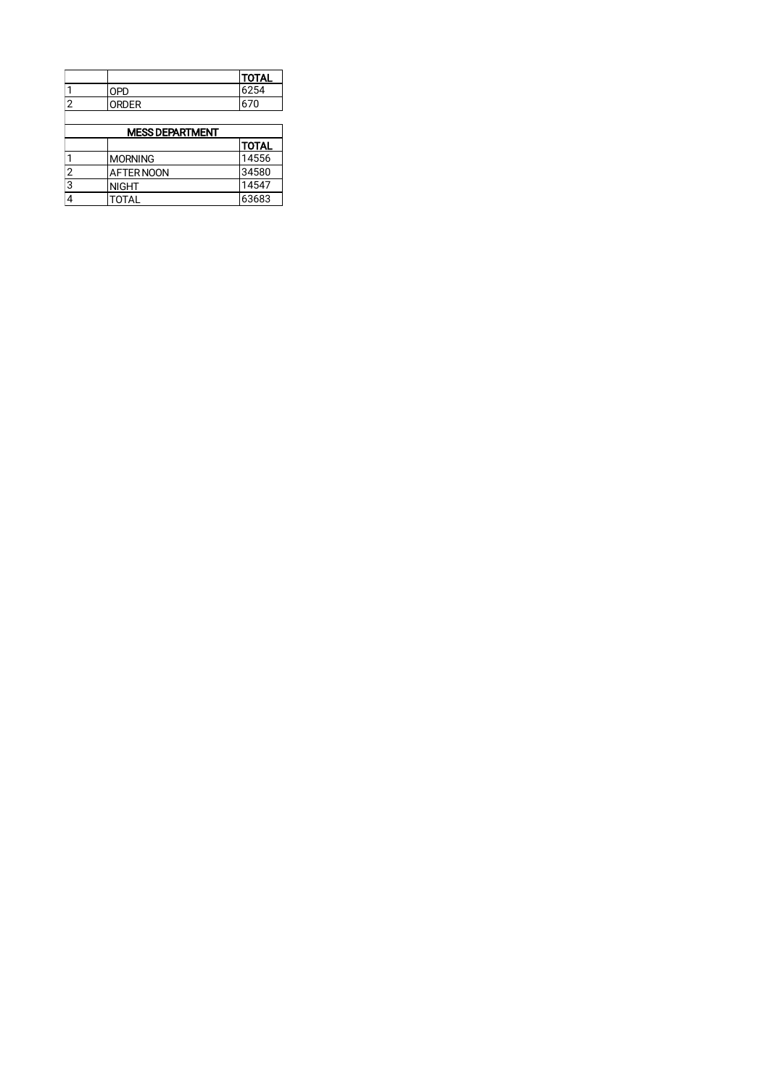|                        |                   | <b>TOTAL</b> |  |  |
|------------------------|-------------------|--------------|--|--|
|                        | <b>OPD</b>        | 6254         |  |  |
| $\overline{2}$         | <b>ORDER</b>      | 670          |  |  |
|                        |                   |              |  |  |
| <b>MESS DEPARTMENT</b> |                   |              |  |  |
|                        |                   | <b>TOTAL</b> |  |  |
| 1                      | <b>MORNING</b>    | 14556        |  |  |
| $\overline{2}$         | <b>AFTER NOON</b> | 34580        |  |  |
| 3                      | <b>NIGHT</b>      | 14547        |  |  |
| $\overline{4}$         | <b>TOTAL</b>      | 63683        |  |  |
|                        |                   |              |  |  |